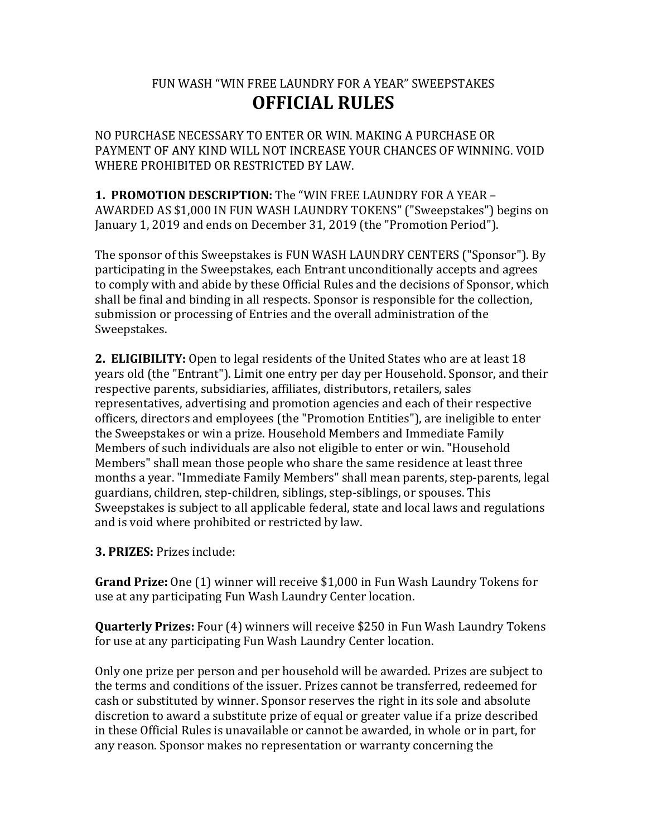## FUN WASH "WIN FREE LAUNDRY FOR A YEAR" SWEEPSTAKES **OFFICIAL RULES**

NO PURCHASE NECESSARY TO ENTER OR WIN. MAKING A PURCHASE OR PAYMENT OF ANY KIND WILL NOT INCREASE YOUR CHANCES OF WINNING. VOID WHERE PROHIBITED OR RESTRICTED BY LAW.

**1. PROMOTION DESCRIPTION:** The "WIN FREE LAUNDRY FOR A YEAR -AWARDED AS \$1,000 IN FUN WASH LAUNDRY TOKENS" ("Sweepstakes") begins on January 1, 2019 and ends on December 31, 2019 (the "Promotion Period").

The sponsor of this Sweepstakes is FUN WASH LAUNDRY CENTERS ("Sponsor"). By participating in the Sweepstakes, each Entrant unconditionally accepts and agrees to comply with and abide by these Official Rules and the decisions of Sponsor, which shall be final and binding in all respects. Sponsor is responsible for the collection, submission or processing of Entries and the overall administration of the Sweepstakes. 

**2. ELIGIBILITY:** Open to legal residents of the United States who are at least 18 years old (the "Entrant"). Limit one entry per day per Household. Sponsor, and their respective parents, subsidiaries, affiliates, distributors, retailers, sales representatives, advertising and promotion agencies and each of their respective officers, directors and employees (the "Promotion Entities"), are ineligible to enter the Sweepstakes or win a prize. Household Members and Immediate Family Members of such individuals are also not eligible to enter or win. "Household Members" shall mean those people who share the same residence at least three months a year. "Immediate Family Members" shall mean parents, step-parents, legal guardians, children, step-children, siblings, step-siblings, or spouses. This Sweepstakes is subject to all applicable federal, state and local laws and regulations and is void where prohibited or restricted by law.

**3. PRIZES:** Prizes include:

**Grand Prize:** One (1) winner will receive \$1,000 in Fun Wash Laundry Tokens for use at any participating Fun Wash Laundry Center location.

**Quarterly Prizes:** Four (4) winners will receive \$250 in Fun Wash Laundry Tokens for use at any participating Fun Wash Laundry Center location.

Only one prize per person and per household will be awarded. Prizes are subject to the terms and conditions of the issuer. Prizes cannot be transferred, redeemed for cash or substituted by winner. Sponsor reserves the right in its sole and absolute discretion to award a substitute prize of equal or greater value if a prize described in these Official Rules is unavailable or cannot be awarded, in whole or in part, for any reason. Sponsor makes no representation or warranty concerning the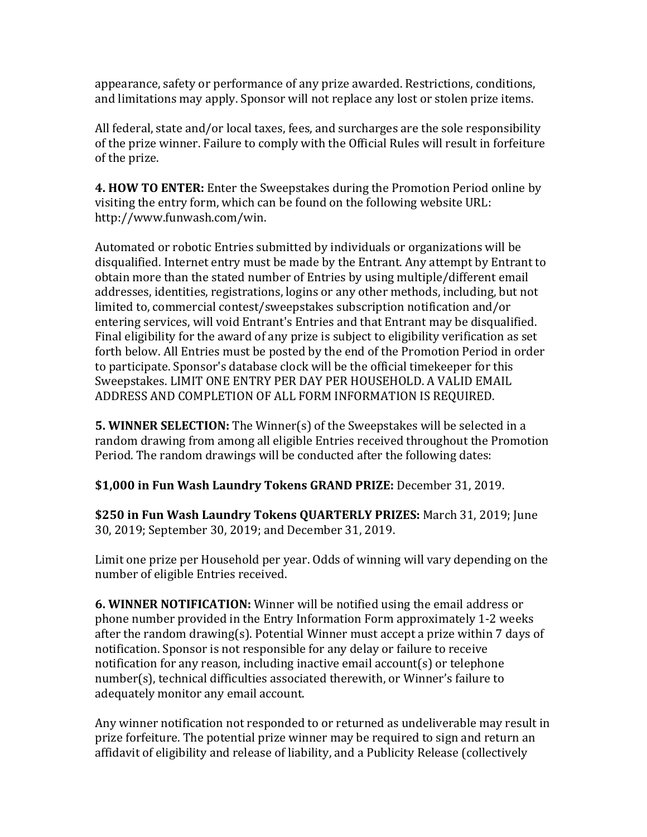appearance, safety or performance of any prize awarded. Restrictions, conditions, and limitations may apply. Sponsor will not replace any lost or stolen prize items.

All federal, state and/or local taxes, fees, and surcharges are the sole responsibility of the prize winner. Failure to comply with the Official Rules will result in forfeiture of the prize.

**4. HOW TO ENTER:** Enter the Sweepstakes during the Promotion Period online by visiting the entry form, which can be found on the following website URL: http://www.funwash.com/win.

Automated or robotic Entries submitted by individuals or organizations will be disqualified. Internet entry must be made by the Entrant. Any attempt by Entrant to obtain more than the stated number of Entries by using multiple/different email addresses, identities, registrations, logins or any other methods, including, but not limited to, commercial contest/sweepstakes subscription notification and/or entering services, will void Entrant's Entries and that Entrant may be disqualified. Final eligibility for the award of any prize is subject to eligibility verification as set forth below. All Entries must be posted by the end of the Promotion Period in order to participate. Sponsor's database clock will be the official timekeeper for this Sweepstakes. LIMIT ONE ENTRY PER DAY PER HOUSEHOLD. A VALID EMAIL ADDRESS AND COMPLETION OF ALL FORM INFORMATION IS REQUIRED.

**5. WINNER SELECTION:** The Winner(s) of the Sweepstakes will be selected in a random drawing from among all eligible Entries received throughout the Promotion Period. The random drawings will be conducted after the following dates:

**\$1,000 in Fun Wash Laundry Tokens GRAND PRIZE:** December 31, 2019.

**\$250 in Fun Wash Laundry Tokens QUARTERLY PRIZES:** March 31, 2019; June 30, 2019; September 30, 2019; and December 31, 2019.

Limit one prize per Household per year. Odds of winning will vary depending on the number of eligible Entries received.

**6. WINNER NOTIFICATION:** Winner will be notified using the email address or phone number provided in the Entry Information Form approximately 1-2 weeks after the random drawing(s). Potential Winner must accept a prize within 7 days of notification. Sponsor is not responsible for any delay or failure to receive notification for any reason, including inactive email account(s) or telephone number(s), technical difficulties associated therewith, or Winner's failure to adequately monitor any email account.

Any winner notification not responded to or returned as undeliverable may result in prize forfeiture. The potential prize winner may be required to sign and return an affidavit of eligibility and release of liability, and a Publicity Release (collectively